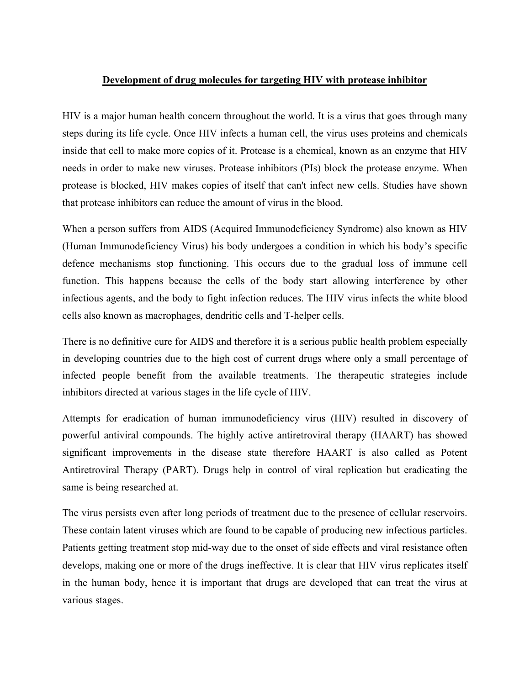## **Development of drug molecules for targeting HIV with protease inhibitor**

HIV is a major human health concern throughout the world. It is a virus that goes through many steps during its life cycle. Once HIV infects a human cell, the virus uses proteins and chemicals inside that cell to make more copies of it. Protease is a chemical, known as an enzyme that HIV needs in order to make new viruses. Protease inhibitors (PIs) block the protease enzyme. When protease is blocked, HIV makes copies of itself that can't infect new cells. Studies have shown that protease inhibitors can reduce the amount of virus in the blood.

When a person suffers from AIDS (Acquired Immunodeficiency Syndrome) also known as HIV (Human Immunodeficiency Virus) his body undergoes a condition in which his body's specific defence mechanisms stop functioning. This occurs due to the gradual loss of immune cell function. This happens because the cells of the body start allowing interference by other infectious agents, and the body to fight infection reduces. The HIV virus infects the white blood cells also known as macrophages, dendritic cells and T-helper cells.

There is no definitive cure for AIDS and therefore it is a serious public health problem especially in developing countries due to the high cost of current drugs where only a small percentage of infected people benefit from the available treatments. The therapeutic strategies include inhibitors directed at various stages in the life cycle of HIV.

Attempts for eradication of human immunodeficiency virus (HIV) resulted in discovery of powerful antiviral compounds. The highly active antiretroviral therapy (HAART) has showed significant improvements in the disease state therefore HAART is also called as Potent Antiretroviral Therapy (PART). Drugs help in control of viral replication but eradicating the same is being researched at.

The virus persists even after long periods of treatment due to the presence of cellular reservoirs. These contain latent viruses which are found to be capable of producing new infectious particles. Patients getting treatment stop mid-way due to the onset of side effects and viral resistance often develops, making one or more of the drugs ineffective. It is clear that HIV virus replicates itself in the human body, hence it is important that drugs are developed that can treat the virus at various stages.